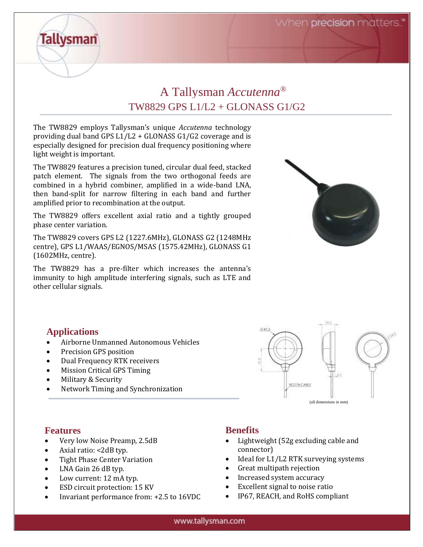When precision matters.



The TW8829 employs Tallysman's unique *Accutenna* technology providing dual band GPS L1/L2 + GLONASS G1/G2 coverage and is especially designed for precision dual frequency positioning where light weight is important.

The TW8829 features a precision tuned, circular dual feed, stacked patch element. The signals from the two orthogonal feeds are combined in a hybrid combiner, amplified in a wide-band LNA, then band-split for narrow filtering in each band and further amplified prior to recombination at the output.

The TW8829 offers excellent axial ratio and a tightly grouped phase center variation.

The TW8829 covers GPS L2 (1227.6MHz), GLONASS G2 (1248MHz centre), GPS L1/WAAS/EGNOS/MSAS (1575.42MHz), GLONASS G1 (1602MHz, centre).

The TW8829 has a pre-filter which increases the antenna's immunity to high amplitude interfering signals, such as LTE and other cellular signals.



## **Applications**

**Tallysman** 

- Airborne Unmanned Autonomous Vehicles
- Precision GPS position
- Dual Frequency RTK receivers
- Mission Critical GPS Timing
- Military & Security
- Network Timing and Synchronization



## **Features**

- Very low Noise Preamp, 2.5dB
- Axial ratio: <2dB typ.
- Tight Phase Center Variation
- LNA Gain 26 dB typ.
- Low current: 12 mA typ.
- ESD circuit protection: 15 KV
- Invariant performance from: +2.5 to 16VDC

## **Benefits**

- Lightweight (52g excluding cable and connector)
- Ideal for L1/L2 RTK surveying systems
- Great multipath rejection
- Increased system accuracy
- Excellent signal to noise ratio
- IP67, REACH, and RoHS compliant